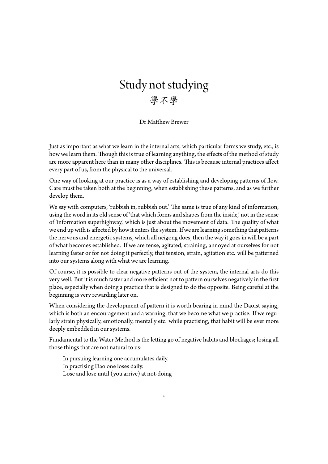## Study not studying 學不學

Dr Matthew Brewer

Just as important as what we learn in the internal arts, which particular forms we study, etc., is how we learn them. Though this is true of learning anything, the effects of the method of study are more apparent here than in many other disciplines. This is because internal practices affect every part of us, from the physical to the universal.

One way of looking at our practice is as a way of establishing and developing patterns of flow. Care must be taken both at the beginning, when establishing these patterns, and as we further develop them.

We say with computers, 'rubbish in, rubbish out.' The same is true of any kind of information, using the word in its old sense of 'that which forms and shapes from the inside,' not in the sense of 'information superhighway,' which is just about the movement of data. The quality of what we end up with is affected by how it enters the system. If we are learning something that patterns the nervous and energetic systems, which all neigong does, then the way it goes in will be a part of what becomes established. If we are tense, agitated, straining, annoyed at ourselves for not learning faster or for not doing it perfectly, that tension, strain, agitation etc. will be patterned into our systems along with what we are learning.

Of course, it is possible to clear negative patterns out of the system, the internal arts do this very well. But it is much faster and more efficient not to pattern ourselves negatively in the first place, especially when doing a practice that is designed to do the opposite. Being careful at the beginning is very rewarding later on.

When considering the development of pattern it is worth bearing in mind the Daoist saying, which is both an encouragement and a warning, that we become what we practise. If we regularly strain physically, emotionally, mentally etc. while practising, that habit will be ever more deeply embedded in our systems.

Fundamental to the Water Method is the letting go of negative habits and blockages; losing all those things that are not natural to us:

1

In pursuing learning one accumulates daily. In practising Dao one loses daily. Lose and lose until (you arrive) at not-doing